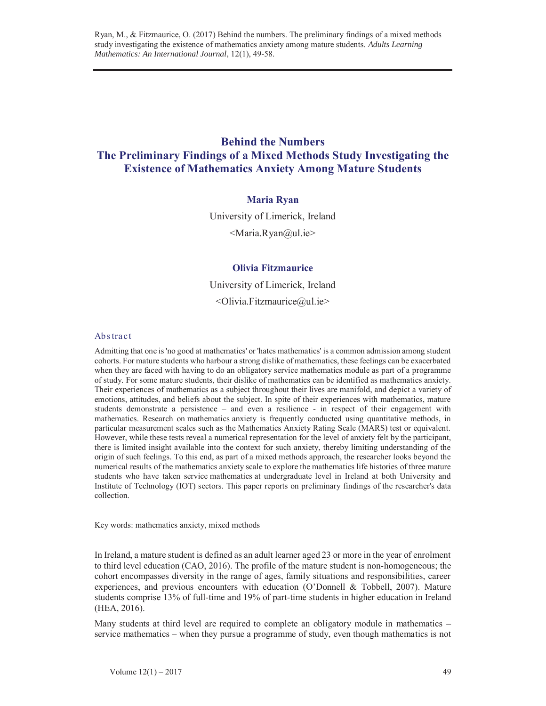# **Behind the Numbers The Preliminary Findings of a Mixed Methods Study Investigating the Existence of Mathematics Anxiety Among Mature Students**

# **Maria Ryan**

University of Limerick, Ireland <Maria.Ryan@ul.ie>

## **Olivia Fitzmaurice**

University of Limerick, Ireland  $\leq$ Olivia.Fitzmaurice $\approx$ ul.ie $\geq$ 

## Abs tract

Admitting that one is 'no good at mathematics' or 'hates mathematics' is a common admission among student cohorts. For mature students who harbour a strong dislike of mathematics, these feelings can be exacerbated when they are faced with having to do an obligatory service mathematics module as part of a programme of study. For some mature students, their dislike of mathematics can be identified as mathematics anxiety. Their experiences of mathematics as a subject throughout their lives are manifold, and depict a variety of emotions, attitudes, and beliefs about the subject. In spite of their experiences with mathematics, mature students demonstrate a persistence – and even a resilience - in respect of their engagement with mathematics. Research on mathematics anxiety is frequently conducted using quantitative methods, in particular measurement scales such as the Mathematics Anxiety Rating Scale (MARS) test or equivalent. However, while these tests reveal a numerical representation for the level of anxiety felt by the participant, there is limited insight available into the context for such anxiety, thereby limiting understanding of the origin of such feelings. To this end, as part of a mixed methods approach, the researcher looks beyond the numerical results of the mathematics anxiety scale to explore the mathematics life histories of three mature students who have taken service mathematics at undergraduate level in Ireland at both University and Institute of Technology (IOT) sectors. This paper reports on preliminary findings of the researcher's data collection.

Key words: mathematics anxiety, mixed methods

In Ireland, a mature student is defined as an adult learner aged 23 or more in the year of enrolment to third level education (CAO, 2016). The profile of the mature student is non-homogeneous; the cohort encompasses diversity in the range of ages, family situations and responsibilities, career experiences, and previous encounters with education (O'Donnell & Tobbell, 2007). Mature students comprise 13% of full-time and 19% of part-time students in higher education in Ireland (HEA, 2016).

Many students at third level are required to complete an obligatory module in mathematics – service mathematics – when they pursue a programme of study, even though mathematics is not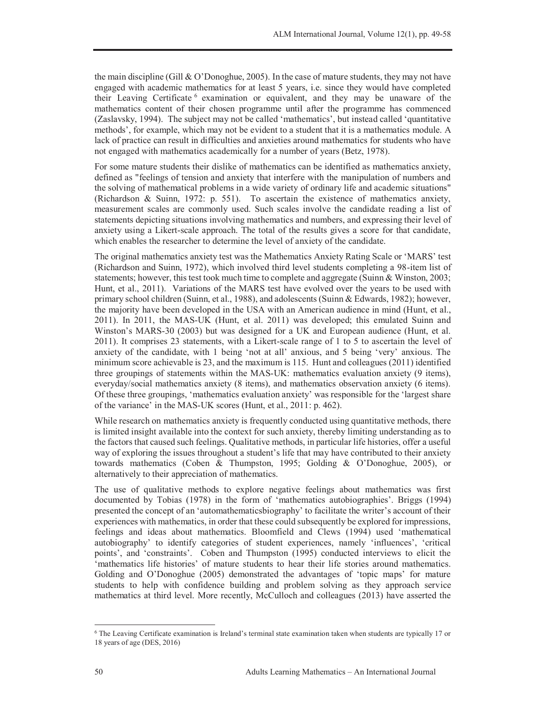the main discipline (Gill  $& O'Donoghue, 2005)$ . In the case of mature students, they may not have engaged with academic mathematics for at least 5 years, i.e. since they would have completed their Leaving Certificate 6 examination or equivalent, and they may be unaware of the mathematics content of their chosen programme until after the programme has commenced (Zaslavsky, 1994). The subject may not be called 'mathematics', but instead called 'quantitative methods', for example, which may not be evident to a student that it is a mathematics module. A lack of practice can result in difficulties and anxieties around mathematics for students who have not engaged with mathematics academically for a number of years (Betz, 1978).

For some mature students their dislike of mathematics can be identified as mathematics anxiety, defined as "feelings of tension and anxiety that interfere with the manipulation of numbers and the solving of mathematical problems in a wide variety of ordinary life and academic situations" (Richardson & Suinn, 1972: p. 551). To ascertain the existence of mathematics anxiety, measurement scales are commonly used. Such scales involve the candidate reading a list of statements depicting situations involving mathematics and numbers, and expressing their level of anxiety using a Likert-scale approach. The total of the results gives a score for that candidate, which enables the researcher to determine the level of anxiety of the candidate.

The original mathematics anxiety test was the Mathematics Anxiety Rating Scale or 'MARS' test (Richardson and Suinn, 1972), which involved third level students completing a 98-item list of statements; however, this test took much time to complete and aggregate (Suinn & Winston, 2003; Hunt, et al., 2011). Variations of the MARS test have evolved over the years to be used with primary school children (Suinn, et al., 1988), and adolescents (Suinn & Edwards, 1982); however, the majority have been developed in the USA with an American audience in mind (Hunt, et al., 2011). In 2011, the MAS-UK (Hunt, et al. 2011) was developed; this emulated Suinn and Winston's MARS-30 (2003) but was designed for a UK and European audience (Hunt, et al. 2011). It comprises 23 statements, with a Likert-scale range of 1 to 5 to ascertain the level of anxiety of the candidate, with 1 being 'not at all' anxious, and 5 being 'very' anxious. The minimum score achievable is 23, and the maximum is 115. Hunt and colleagues (2011) identified three groupings of statements within the MAS-UK: mathematics evaluation anxiety (9 items), everyday/social mathematics anxiety (8 items), and mathematics observation anxiety (6 items). Of these three groupings, 'mathematics evaluation anxiety' was responsible for the 'largest share of the variance' in the MAS-UK scores (Hunt, et al., 2011: p. 462).

While research on mathematics anxiety is frequently conducted using quantitative methods, there is limited insight available into the context for such anxiety, thereby limiting understanding as to the factors that caused such feelings. Qualitative methods, in particular life histories, offer a useful way of exploring the issues throughout a student's life that may have contributed to their anxiety towards mathematics (Coben & Thumpston, 1995; Golding & O'Donoghue, 2005), or alternatively to their appreciation of mathematics.

The use of qualitative methods to explore negative feelings about mathematics was first documented by Tobias (1978) in the form of 'mathematics autobiographies'. Briggs (1994) presented the concept of an 'automathematicsbiography' to facilitate the writer's account of their experiences with mathematics, in order that these could subsequently be explored for impressions, feelings and ideas about mathematics. Bloomfield and Clews (1994) used 'mathematical autobiography' to identify categories of student experiences, namely 'influences', 'critical points', and 'constraints'. Coben and Thumpston (1995) conducted interviews to elicit the 'mathematics life histories' of mature students to hear their life stories around mathematics. Golding and O'Donoghue (2005) demonstrated the advantages of 'topic maps' for mature students to help with confidence building and problem solving as they approach service mathematics at third level. More recently, McCulloch and colleagues (2013) have asserted the

l

<sup>6</sup> The Leaving Certificate examination is Ireland's terminal state examination taken when students are typically 17 or 18 years of age (DES, 2016)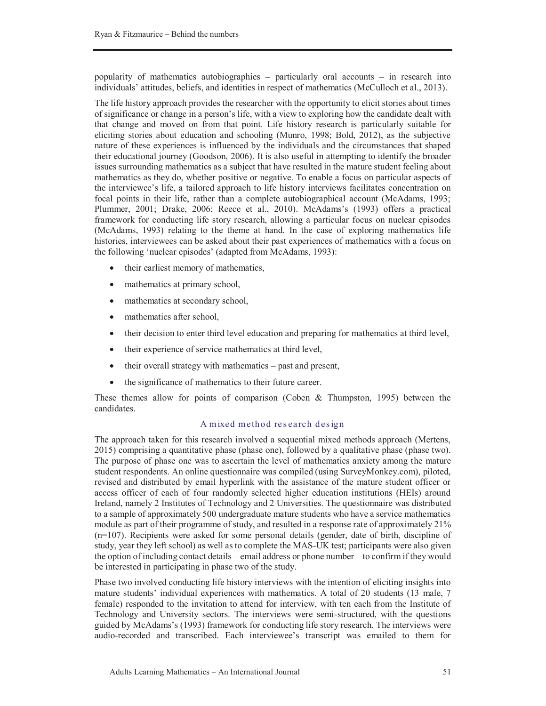popularity of mathematics autobiographies – particularly oral accounts – in research into individuals' attitudes, beliefs, and identities in respect of mathematics (McCulloch et al., 2013).

The life history approach provides the researcher with the opportunity to elicit stories about times of significance or change in a person's life, with a view to exploring how the candidate dealt with that change and moved on from that point. Life history research is particularly suitable for eliciting stories about education and schooling (Munro, 1998; Bold, 2012), as the subjective nature of these experiences is influenced by the individuals and the circumstances that shaped their educational journey (Goodson, 2006). It is also useful in attempting to identify the broader issues surrounding mathematics as a subject that have resulted in the mature student feeling about mathematics as they do, whether positive or negative. To enable a focus on particular aspects of the interviewee's life, a tailored approach to life history interviews facilitates concentration on focal points in their life, rather than a complete autobiographical account (McAdams, 1993; Plummer, 2001; Drake, 2006; Reece et al., 2010). McAdams's (1993) offers a practical framework for conducting life story research, allowing a particular focus on nuclear episodes (McAdams, 1993) relating to the theme at hand. In the case of exploring mathematics life histories, interviewees can be asked about their past experiences of mathematics with a focus on the following 'nuclear episodes' (adapted from McAdams, 1993):

- their earliest memory of mathematics,
- mathematics at primary school,
- mathematics at secondary school,
- mathematics after school,
- their decision to enter third level education and preparing for mathematics at third level,
- their experience of service mathematics at third level,
- $\bullet$  their overall strategy with mathematics past and present,
- the significance of mathematics to their future career.

These themes allow for points of comparison (Coben & Thumpston, 1995) between the candidates.

# A mixed method research design

The approach taken for this research involved a sequential mixed methods approach (Mertens, 2015) comprising a quantitative phase (phase one), followed by a qualitative phase (phase two). The purpose of phase one was to ascertain the level of mathematics anxiety among the mature student respondents. An online questionnaire was compiled (using SurveyMonkey.com), piloted, revised and distributed by email hyperlink with the assistance of the mature student officer or access officer of each of four randomly selected higher education institutions (HEIs) around Ireland, namely 2 Institutes of Technology and 2 Universities. The questionnaire was distributed to a sample of approximately 500 undergraduate mature students who have a service mathematics module as part of their programme of study, and resulted in a response rate of approximately 21% (n=107). Recipients were asked for some personal details (gender, date of birth, discipline of study, year they left school) as well as to complete the MAS-UK test; participants were also given the option of including contact details – email address or phone number – to confirm if they would be interested in participating in phase two of the study.

Phase two involved conducting life history interviews with the intention of eliciting insights into mature students' individual experiences with mathematics. A total of 20 students (13 male, 7 female) responded to the invitation to attend for interview, with ten each from the Institute of Technology and University sectors. The interviews were semi-structured, with the questions guided by McAdams's (1993) framework for conducting life story research. The interviews were audio-recorded and transcribed. Each interviewee's transcript was emailed to them for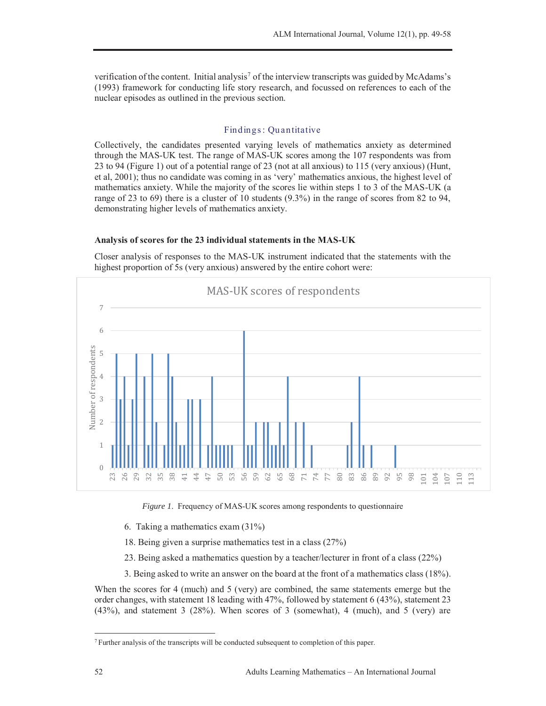verification of the content. Initial analysis<sup>7</sup> of the interview transcripts was guided by McAdams's (1993) framework for conducting life story research, and focussed on references to each of the nuclear episodes as outlined in the previous section.

## Findings : Qu antitative

Collectively, the candidates presented varying levels of mathematics anxiety as determined through the MAS-UK test. The range of MAS-UK scores among the 107 respondents was from 23 to 94 (Figure 1) out of a potential range of 23 (not at all anxious) to 115 (very anxious) (Hunt, et al, 2001); thus no candidate was coming in as 'very' mathematics anxious, the highest level of mathematics anxiety. While the majority of the scores lie within steps 1 to 3 of the MAS-UK (a range of 23 to 69) there is a cluster of 10 students (9.3%) in the range of scores from 82 to 94, demonstrating higher levels of mathematics anxiety.

#### **Analysis of scores for the 23 individual statements in the MAS-UK**



Closer analysis of responses to the MAS-UK instrument indicated that the statements with the highest proportion of 5s (very anxious) answered by the entire cohort were:

*Figure 1*. Frequency of MAS-UK scores among respondents to questionnaire

- 6. Taking a mathematics exam (31%)
- 18. Being given a surprise mathematics test in a class (27%)
- 23. Being asked a mathematics question by a teacher/lecturer in front of a class (22%)
- 3. Being asked to write an answer on the board at the front of a mathematics class (18%).

When the scores for 4 (much) and 5 (very) are combined, the same statements emerge but the order changes, with statement 18 leading with 47%, followed by statement 6 (43%), statement 23 (43%), and statement 3 (28%). When scores of 3 (somewhat), 4 (much), and 5 (very) are

 $\overline{a}$ 

<sup>7</sup> Further analysis of the transcripts will be conducted subsequent to completion of this paper.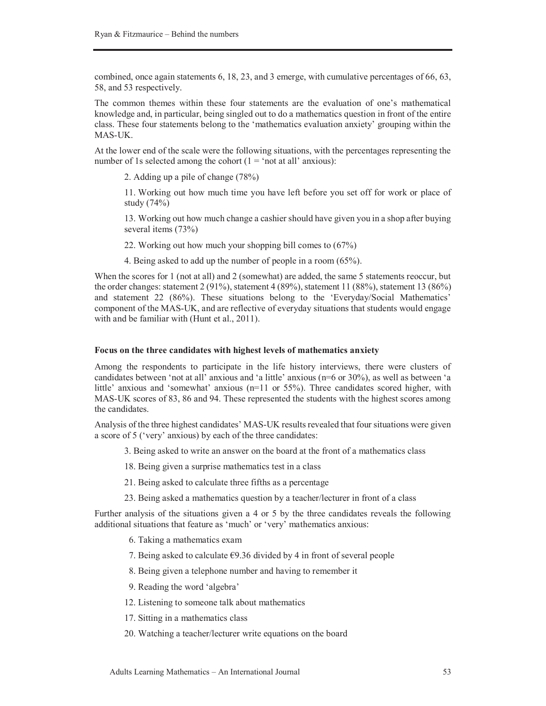combined, once again statements 6, 18, 23, and 3 emerge, with cumulative percentages of 66, 63, 58, and 53 respectively.

The common themes within these four statements are the evaluation of one's mathematical knowledge and, in particular, being singled out to do a mathematics question in front of the entire class. These four statements belong to the 'mathematics evaluation anxiety' grouping within the MAS-UK.

At the lower end of the scale were the following situations, with the percentages representing the number of 1s selected among the cohort  $(1 = 'not at all' anxious)$ :

2. Adding up a pile of change (78%)

11. Working out how much time you have left before you set off for work or place of study (74%)

13. Working out how much change a cashier should have given you in a shop after buying several items (73%)

22. Working out how much your shopping bill comes to (67%)

4. Being asked to add up the number of people in a room (65%).

When the scores for 1 (not at all) and 2 (somewhat) are added, the same 5 statements reoccur, but the order changes: statement  $2(91\%)$ , statement  $4(89\%)$ , statement  $11(88\%)$ , statement  $13(86\%)$ and statement 22 (86%). These situations belong to the 'Everyday/Social Mathematics' component of the MAS-UK, and are reflective of everyday situations that students would engage with and be familiar with (Hunt et al., 2011).

#### **Focus on the three candidates with highest levels of mathematics anxiety**

Among the respondents to participate in the life history interviews, there were clusters of candidates between 'not at all' anxious and 'a little' anxious (n=6 or 30%), as well as between 'a little' anxious and 'somewhat' anxious (n=11 or 55%). Three candidates scored higher, with MAS-UK scores of 83, 86 and 94. These represented the students with the highest scores among the candidates.

Analysis of the three highest candidates' MAS-UK results revealed that four situations were given a score of 5 ('very' anxious) by each of the three candidates:

3. Being asked to write an answer on the board at the front of a mathematics class

18. Being given a surprise mathematics test in a class

21. Being asked to calculate three fifths as a percentage

23. Being asked a mathematics question by a teacher/lecturer in front of a class

Further analysis of the situations given a 4 or 5 by the three candidates reveals the following additional situations that feature as 'much' or 'very' mathematics anxious:

- 6. Taking a mathematics exam
- 7. Being asked to calculate  $\epsilon$ 9.36 divided by 4 in front of several people
- 8. Being given a telephone number and having to remember it
- 9. Reading the word 'algebra'
- 12. Listening to someone talk about mathematics
- 17. Sitting in a mathematics class
- 20. Watching a teacher/lecturer write equations on the board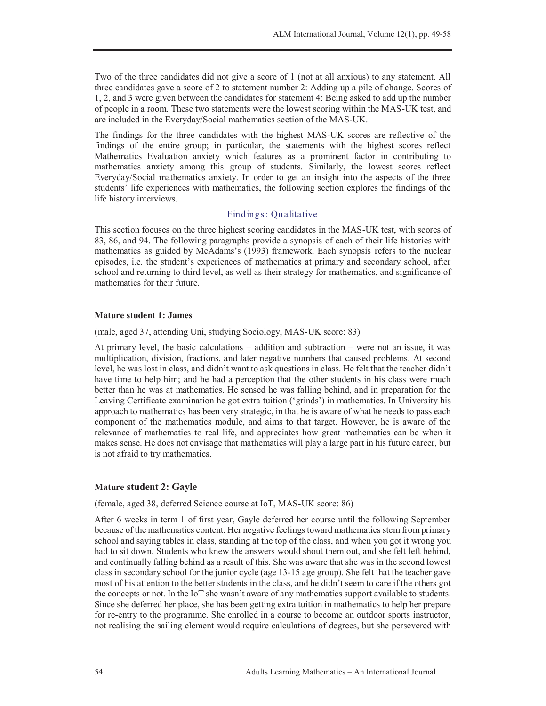Two of the three candidates did not give a score of 1 (not at all anxious) to any statement. All three candidates gave a score of 2 to statement number 2: Adding up a pile of change. Scores of 1, 2, and 3 were given between the candidates for statement 4: Being asked to add up the number of people in a room. These two statements were the lowest scoring within the MAS-UK test, and are included in the Everyday/Social mathematics section of the MAS-UK.

The findings for the three candidates with the highest MAS-UK scores are reflective of the findings of the entire group; in particular, the statements with the highest scores reflect Mathematics Evaluation anxiety which features as a prominent factor in contributing to mathematics anxiety among this group of students. Similarly, the lowest scores reflect Everyday/Social mathematics anxiety. In order to get an insight into the aspects of the three students' life experiences with mathematics, the following section explores the findings of the life history interviews.

## Findings : Qu alitative

This section focuses on the three highest scoring candidates in the MAS-UK test, with scores of 83, 86, and 94. The following paragraphs provide a synopsis of each of their life histories with mathematics as guided by McAdams's (1993) framework. Each synopsis refers to the nuclear episodes, i.e. the student's experiences of mathematics at primary and secondary school, after school and returning to third level, as well as their strategy for mathematics, and significance of mathematics for their future.

#### **Mature student 1: James**

(male, aged 37, attending Uni, studying Sociology, MAS-UK score: 83)

At primary level, the basic calculations – addition and subtraction – were not an issue, it was multiplication, division, fractions, and later negative numbers that caused problems. At second level, he was lost in class, and didn't want to ask questions in class. He felt that the teacher didn't have time to help him; and he had a perception that the other students in his class were much better than he was at mathematics. He sensed he was falling behind, and in preparation for the Leaving Certificate examination he got extra tuition ('grinds') in mathematics. In University his approach to mathematics has been very strategic, in that he is aware of what he needs to pass each component of the mathematics module, and aims to that target. However, he is aware of the relevance of mathematics to real life, and appreciates how great mathematics can be when it makes sense. He does not envisage that mathematics will play a large part in his future career, but is not afraid to try mathematics.

#### **Mature student 2: Gayle**

(female, aged 38, deferred Science course at IoT, MAS-UK score: 86)

After 6 weeks in term 1 of first year, Gayle deferred her course until the following September because of the mathematics content. Her negative feelings toward mathematics stem from primary school and saying tables in class, standing at the top of the class, and when you got it wrong you had to sit down. Students who knew the answers would shout them out, and she felt left behind, and continually falling behind as a result of this. She was aware that she was in the second lowest class in secondary school for the junior cycle (age 13-15 age group). She felt that the teacher gave most of his attention to the better students in the class, and he didn't seem to care if the others got the concepts or not. In the IoT she wasn't aware of any mathematics support available to students. Since she deferred her place, she has been getting extra tuition in mathematics to help her prepare for re-entry to the programme. She enrolled in a course to become an outdoor sports instructor, not realising the sailing element would require calculations of degrees, but she persevered with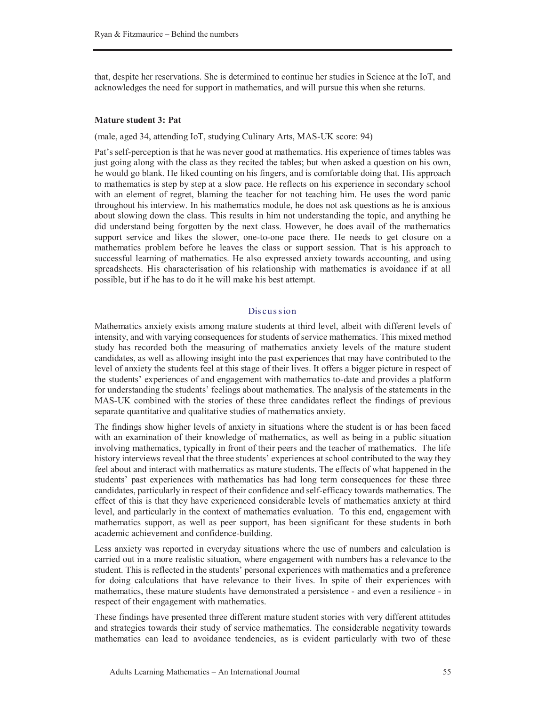that, despite her reservations. She is determined to continue her studies in Science at the IoT, and acknowledges the need for support in mathematics, and will pursue this when she returns.

#### **Mature student 3: Pat**

(male, aged 34, attending IoT, studying Culinary Arts, MAS-UK score: 94)

Pat's self-perception is that he was never good at mathematics. His experience of times tables was just going along with the class as they recited the tables; but when asked a question on his own, he would go blank. He liked counting on his fingers, and is comfortable doing that. His approach to mathematics is step by step at a slow pace. He reflects on his experience in secondary school with an element of regret, blaming the teacher for not teaching him. He uses the word panic throughout his interview. In his mathematics module, he does not ask questions as he is anxious about slowing down the class. This results in him not understanding the topic, and anything he did understand being forgotten by the next class. However, he does avail of the mathematics support service and likes the slower, one-to-one pace there. He needs to get closure on a mathematics problem before he leaves the class or support session. That is his approach to successful learning of mathematics. He also expressed anxiety towards accounting, and using spreadsheets. His characterisation of his relationship with mathematics is avoidance if at all possible, but if he has to do it he will make his best attempt.

## Dis cus s ion

Mathematics anxiety exists among mature students at third level, albeit with different levels of intensity, and with varying consequences for students of service mathematics. This mixed method study has recorded both the measuring of mathematics anxiety levels of the mature student candidates, as well as allowing insight into the past experiences that may have contributed to the level of anxiety the students feel at this stage of their lives. It offers a bigger picture in respect of the students' experiences of and engagement with mathematics to-date and provides a platform for understanding the students' feelings about mathematics. The analysis of the statements in the MAS-UK combined with the stories of these three candidates reflect the findings of previous separate quantitative and qualitative studies of mathematics anxiety.

The findings show higher levels of anxiety in situations where the student is or has been faced with an examination of their knowledge of mathematics, as well as being in a public situation involving mathematics, typically in front of their peers and the teacher of mathematics. The life history interviews reveal that the three students' experiences at school contributed to the way they feel about and interact with mathematics as mature students. The effects of what happened in the students' past experiences with mathematics has had long term consequences for these three candidates, particularly in respect of their confidence and self-efficacy towards mathematics. The effect of this is that they have experienced considerable levels of mathematics anxiety at third level, and particularly in the context of mathematics evaluation. To this end, engagement with mathematics support, as well as peer support, has been significant for these students in both academic achievement and confidence-building.

Less anxiety was reported in everyday situations where the use of numbers and calculation is carried out in a more realistic situation, where engagement with numbers has a relevance to the student. This is reflected in the students' personal experiences with mathematics and a preference for doing calculations that have relevance to their lives. In spite of their experiences with mathematics, these mature students have demonstrated a persistence - and even a resilience - in respect of their engagement with mathematics.

These findings have presented three different mature student stories with very different attitudes and strategies towards their study of service mathematics. The considerable negativity towards mathematics can lead to avoidance tendencies, as is evident particularly with two of these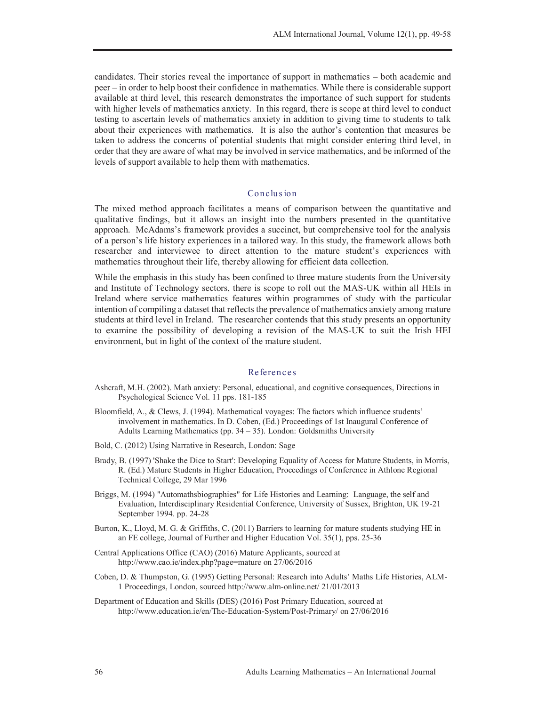candidates. Their stories reveal the importance of support in mathematics – both academic and peer – in order to help boost their confidence in mathematics. While there is considerable support available at third level, this research demonstrates the importance of such support for students with higher levels of mathematics anxiety. In this regard, there is scope at third level to conduct testing to ascertain levels of mathematics anxiety in addition to giving time to students to talk about their experiences with mathematics. It is also the author's contention that measures be taken to address the concerns of potential students that might consider entering third level, in order that they are aware of what may be involved in service mathematics, and be informed of the levels of support available to help them with mathematics.

## Conclus ion

The mixed method approach facilitates a means of comparison between the quantitative and qualitative findings, but it allows an insight into the numbers presented in the quantitative approach. McAdams's framework provides a succinct, but comprehensive tool for the analysis of a person's life history experiences in a tailored way. In this study, the framework allows both researcher and interviewee to direct attention to the mature student's experiences with mathematics throughout their life, thereby allowing for efficient data collection.

While the emphasis in this study has been confined to three mature students from the University and Institute of Technology sectors, there is scope to roll out the MAS-UK within all HEIs in Ireland where service mathematics features within programmes of study with the particular intention of compiling a dataset that reflects the prevalence of mathematics anxiety among mature students at third level in Ireland. The researcher contends that this study presents an opportunity to examine the possibility of developing a revision of the MAS-UK to suit the Irish HEI environment, but in light of the context of the mature student.

## References

- Ashcraft, M.H. (2002). Math anxiety: Personal, educational, and cognitive consequences, Directions in Psychological Science Vol. 11 pps. 181-185
- Bloomfield, A., & Clews, J. (1994). Mathematical voyages: The factors which influence students' involvement in mathematics. In D. Coben, (Ed.) Proceedings of 1st Inaugural Conference of Adults Learning Mathematics (pp. 34 – 35). London: Goldsmiths University
- Bold, C. (2012) Using Narrative in Research, London: Sage
- Brady, B. (1997) 'Shake the Dice to Start': Developing Equality of Access for Mature Students, in Morris, R. (Ed.) Mature Students in Higher Education, Proceedings of Conference in Athlone Regional Technical College, 29 Mar 1996
- Briggs, M. (1994) "Automathsbiographies" for Life Histories and Learning: Language, the self and Evaluation, Interdisciplinary Residential Conference, University of Sussex, Brighton, UK 19-21 September 1994. pp. 24-28
- Burton, K., Lloyd, M. G. & Griffiths, C. (2011) Barriers to learning for mature students studying HE in an FE college, Journal of Further and Higher Education Vol. 35(1), pps. 25-36
- Central Applications Office (CAO) (2016) Mature Applicants, sourced at http://www.cao.ie/index.php?page=mature on 27/06/2016
- Coben, D. & Thumpston, G. (1995) Getting Personal: Research into Adults' Maths Life Histories, ALM-1 Proceedings, London, sourced http://www.alm-online.net/ 21/01/2013
- Department of Education and Skills (DES) (2016) Post Primary Education, sourced at http://www.education.ie/en/The-Education-System/Post-Primary/ on 27/06/2016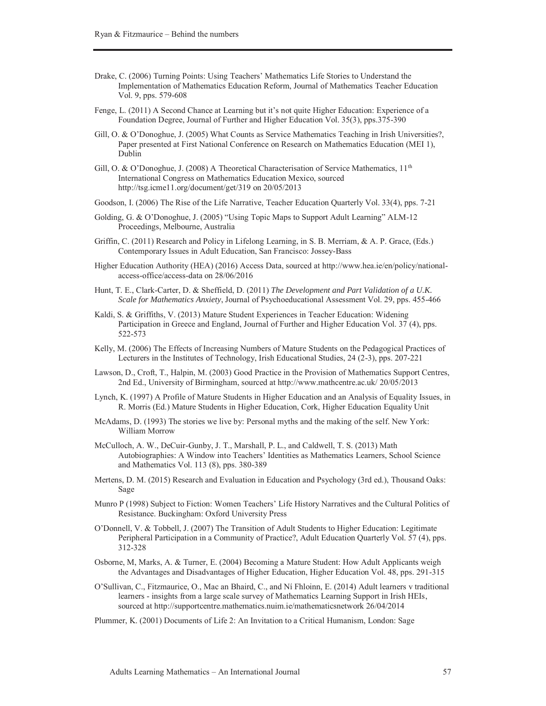- Drake, C. (2006) Turning Points: Using Teachers' Mathematics Life Stories to Understand the Implementation of Mathematics Education Reform, Journal of Mathematics Teacher Education Vol. 9, pps. 579-608
- Fenge, L. (2011) A Second Chance at Learning but it's not quite Higher Education: Experience of a Foundation Degree, Journal of Further and Higher Education Vol. 35(3), pps.375-390
- Gill, O. & O'Donoghue, J. (2005) What Counts as Service Mathematics Teaching in Irish Universities?, Paper presented at First National Conference on Research on Mathematics Education (MEI 1), Dublin
- Gill, O. & O'Donoghue, J. (2008) A Theoretical Characterisation of Service Mathematics, 11<sup>th</sup> International Congress on Mathematics Education Mexico, sourced http://tsg.icme11.org/document/get/319 on 20/05/2013
- Goodson, I. (2006) The Rise of the Life Narrative, Teacher Education Quarterly Vol. 33(4), pps. 7-21
- Golding, G. & O'Donoghue, J. (2005) "Using Topic Maps to Support Adult Learning" ALM-12 Proceedings, Melbourne, Australia
- Griffin, C. (2011) Research and Policy in Lifelong Learning, in S. B. Merriam, & A. P. Grace, (Eds.) Contemporary Issues in Adult Education, San Francisco: Jossey-Bass
- Higher Education Authority (HEA) (2016) Access Data, sourced at http://www.hea.ie/en/policy/nationalaccess-office/access-data on 28/06/2016
- Hunt, T. E., Clark-Carter, D. & Sheffield, D. (2011) *The Development and Part Validation of a U.K. Scale for Mathematics Anxiety*, Journal of Psychoeducational Assessment Vol. 29, pps. 455-466
- Kaldi, S. & Griffiths, V. (2013) Mature Student Experiences in Teacher Education: Widening Participation in Greece and England, Journal of Further and Higher Education Vol. 37 (4), pps. 522-573
- Kelly, M. (2006) The Effects of Increasing Numbers of Mature Students on the Pedagogical Practices of Lecturers in the Institutes of Technology, Irish Educational Studies, 24 (2-3), pps. 207-221
- Lawson, D., Croft, T., Halpin, M. (2003) Good Practice in the Provision of Mathematics Support Centres, 2nd Ed., University of Birmingham, sourced at http://www.mathcentre.ac.uk/ 20/05/2013
- Lynch, K. (1997) A Profile of Mature Students in Higher Education and an Analysis of Equality Issues, in R. Morris (Ed.) Mature Students in Higher Education, Cork, Higher Education Equality Unit
- McAdams, D. (1993) The stories we live by: Personal myths and the making of the self. New York: William Morrow
- McCulloch, A. W., DeCuir-Gunby, J. T., Marshall, P. L., and Caldwell, T. S. (2013) Math Autobiographies: A Window into Teachers' Identities as Mathematics Learners, School Science and Mathematics Vol. 113 (8), pps. 380-389
- Mertens, D. M. (2015) Research and Evaluation in Education and Psychology (3rd ed.), Thousand Oaks: Sage
- Munro P (1998) Subject to Fiction: Women Teachers' Life History Narratives and the Cultural Politics of Resistance. Buckingham: Oxford University Press
- O'Donnell, V. & Tobbell, J. (2007) The Transition of Adult Students to Higher Education: Legitimate Peripheral Participation in a Community of Practice?, Adult Education Quarterly Vol. 57 (4), pps. 312-328
- Osborne, M, Marks, A. & Turner, E. (2004) Becoming a Mature Student: How Adult Applicants weigh the Advantages and Disadvantages of Higher Education, Higher Education Vol. 48, pps. 291-315
- O'Sullivan, C., Fitzmaurice, O., Mac an Bhaird, C., and Ní Fhloinn, E. (2014) Adult learners v traditional learners - insights from a large scale survey of Mathematics Learning Support in Irish HEIs, sourced at http://supportcentre.mathematics.nuim.ie/mathematicsnetwork 26/04/2014
- Plummer, K. (2001) Documents of Life 2: An Invitation to a Critical Humanism, London: Sage